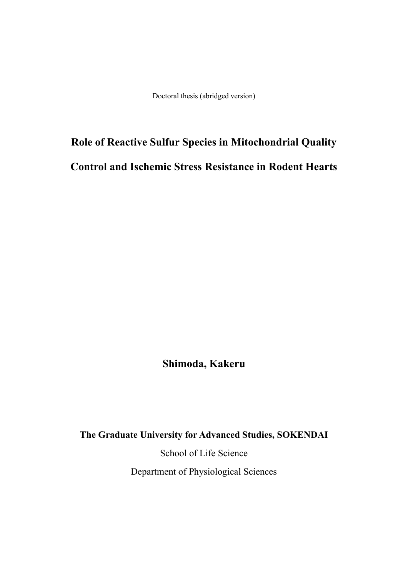Doctoral thesis (abridged version)

# **Role of Reactive Sulfur Species in Mitochondrial Quality Control and Ischemic Stress Resistance in Rodent Hearts**

**Shimoda, Kakeru**

**The Graduate University for Advanced Studies, SOKENDAI**

School of Life Science Department of Physiological Sciences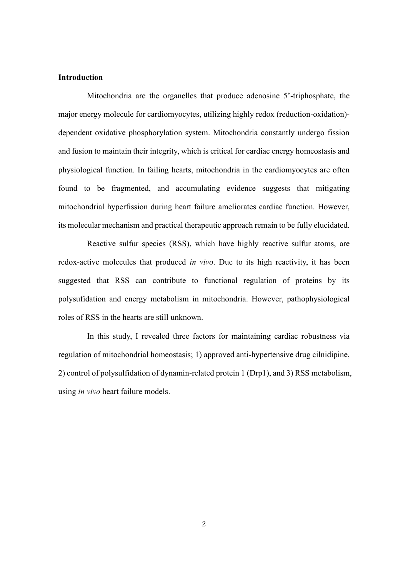## **Introduction**

Mitochondria are the organelles that produce adenosine 5'-triphosphate, the major energy molecule for cardiomyocytes, utilizing highly redox (reduction-oxidation) dependent oxidative phosphorylation system. Mitochondria constantly undergo fission and fusion to maintain their integrity, which is critical for cardiac energy homeostasis and physiological function. In failing hearts, mitochondria in the cardiomyocytes are often found to be fragmented, and accumulating evidence suggests that mitigating mitochondrial hyperfission during heart failure ameliorates cardiac function. However, its molecular mechanism and practical therapeutic approach remain to be fully elucidated.

Reactive sulfur species (RSS), which have highly reactive sulfur atoms, are redox-active molecules that produced *in vivo*. Due to its high reactivity, it has been suggested that RSS can contribute to functional regulation of proteins by its polysufidation and energy metabolism in mitochondria. However, pathophysiological roles of RSS in the hearts are still unknown.

In this study, I revealed three factors for maintaining cardiac robustness via regulation of mitochondrial homeostasis; 1) approved anti-hypertensive drug cilnidipine, 2) control of polysulfidation of dynamin-related protein 1 (Drp1), and 3) RSS metabolism, using *in vivo* heart failure models.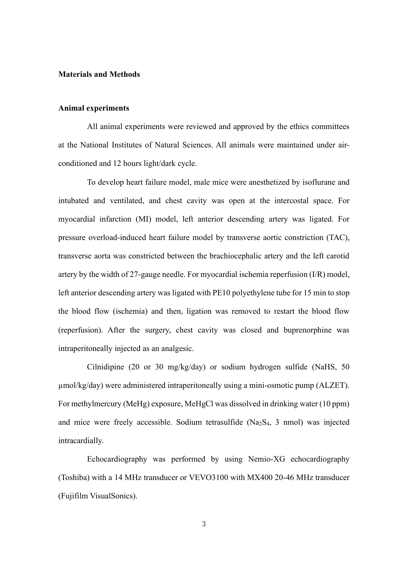#### **Materials and Methods**

## **Animal experiments**

All animal experiments were reviewed and approved by the ethics committees at the National Institutes of Natural Sciences. All animals were maintained under airconditioned and 12 hours light/dark cycle.

To develop heart failure model, male mice were anesthetized by isoflurane and intubated and ventilated, and chest cavity was open at the intercostal space. For myocardial infarction (MI) model, left anterior descending artery was ligated. For pressure overload-induced heart failure model by transverse aortic constriction (TAC), transverse aorta was constricted between the brachiocephalic artery and the left carotid artery by the width of 27-gauge needle. For myocardial ischemia reperfusion (I/R) model, left anterior descending artery was ligated with PE10 polyethylene tube for 15 min to stop the blood flow (ischemia) and then, ligation was removed to restart the blood flow (reperfusion). After the surgery, chest cavity was closed and buprenorphine was intraperitoneally injected as an analgesic.

Cilnidipine (20 or 30 mg/kg/day) or sodium hydrogen sulfide (NaHS, 50 µmol/kg/day) were administered intraperitoneally using a mini-osmotic pump (ALZET). For methylmercury (MeHg) exposure, MeHgCl was dissolved in drinking water (10 ppm) and mice were freely accessible. Sodium tetrasulfide (Na2S4, 3 nmol) was injected intracardially.

Echocardiography was performed by using Nemio-XG echocardiography (Toshiba) with a 14 MHz transducer or VEVO3100 with MX400 20-46 MHz transducer (Fujifilm VisualSonics).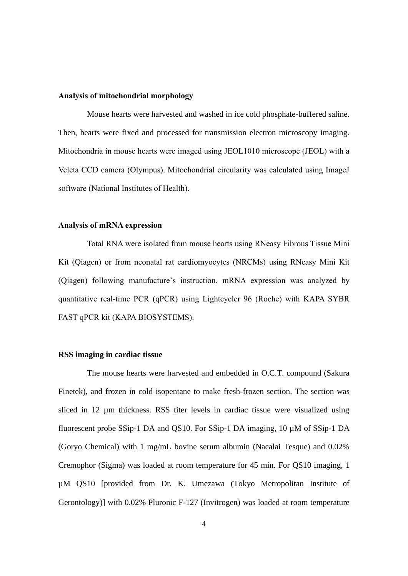#### **Analysis of mitochondrial morphology**

Mouse hearts were harvested and washed in ice cold phosphate-buffered saline. Then, hearts were fixed and processed for transmission electron microscopy imaging. Mitochondria in mouse hearts were imaged using JEOL1010 microscope (JEOL) with a Veleta CCD camera (Olympus). Mitochondrial circularity was calculated using ImageJ software (National Institutes of Health).

#### **Analysis of mRNA expression**

Total RNA were isolated from mouse hearts using RNeasy Fibrous Tissue Mini Kit (Qiagen) or from neonatal rat cardiomyocytes (NRCMs) using RNeasy Mini Kit (Qiagen) following manufacture's instruction. mRNA expression was analyzed by quantitative real-time PCR (qPCR) using Lightcycler 96 (Roche) with KAPA SYBR FAST qPCR kit (KAPA BIOSYSTEMS).

#### **RSS imaging in cardiac tissue**

The mouse hearts were harvested and embedded in O.C.T. compound (Sakura Finetek), and frozen in cold isopentane to make fresh-frozen section. The section was sliced in 12 µm thickness. RSS titer levels in cardiac tissue were visualized using fluorescent probe SSip-1 DA and QS10. For SSip-1 DA imaging, 10 µM of SSip-1 DA (Goryo Chemical) with 1 mg/mL bovine serum albumin (Nacalai Tesque) and 0.02% Cremophor (Sigma) was loaded at room temperature for 45 min. For QS10 imaging, 1 µM QS10 [provided from Dr. K. Umezawa (Tokyo Metropolitan Institute of Gerontology)] with 0.02% Pluronic F-127 (Invitrogen) was loaded at room temperature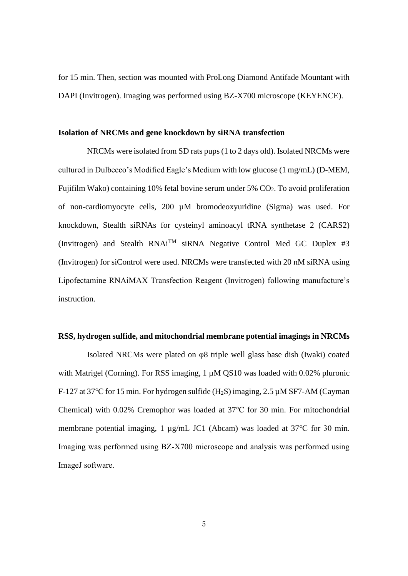for 15 min. Then, section was mounted with ProLong Diamond Antifade Mountant with DAPI (Invitrogen). Imaging was performed using BZ-X700 microscope (KEYENCE).

#### **Isolation of NRCMs and gene knockdown by siRNA transfection**

NRCMs were isolated from SD rats pups (1 to 2 days old). Isolated NRCMs were cultured in Dulbecco's Modified Eagle's Medium with low glucose (1 mg/mL) (D-MEM, Fujifilm Wako) containing 10% fetal bovine serum under 5%  $CO<sub>2</sub>$ . To avoid proliferation of non-cardiomyocyte cells, 200 µM bromodeoxyuridine (Sigma) was used. For knockdown, Stealth siRNAs for cysteinyl aminoacyl tRNA synthetase 2 (CARS2) (Invitrogen) and Stealth RNAi<sup>TM</sup> siRNA Negative Control Med GC Duplex #3 (Invitrogen) for siControl were used. NRCMs were transfected with 20 nM siRNA using Lipofectamine RNAiMAX Transfection Reagent (Invitrogen) following manufacture's instruction.

#### **RSS, hydrogen sulfide, and mitochondrial membrane potential imagings in NRCMs**

Isolated NRCMs were plated on φ8 triple well glass base dish (Iwaki) coated with Matrigel (Corning). For RSS imaging, 1  $\mu$ M QS10 was loaded with 0.02% pluronic F-127 at 37℃ for 15 min. For hydrogen sulfide (H2S) imaging, 2.5 µM SF7-AM (Cayman Chemical) with 0.02% Cremophor was loaded at 37℃ for 30 min. For mitochondrial membrane potential imaging, 1 µg/mL JC1 (Abcam) was loaded at 37℃ for 30 min. Imaging was performed using BZ-X700 microscope and analysis was performed using ImageJ software.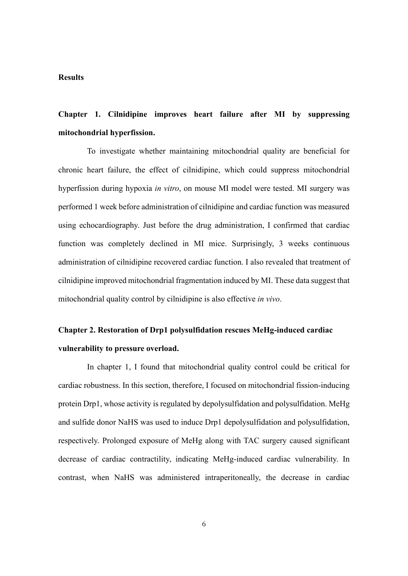## **Results**

# **Chapter 1. Cilnidipine improves heart failure after MI by suppressing mitochondrial hyperfission.**

To investigate whether maintaining mitochondrial quality are beneficial for chronic heart failure, the effect of cilnidipine, which could suppress mitochondrial hyperfission during hypoxia *in vitro*, on mouse MI model were tested. MI surgery was performed 1 week before administration of cilnidipine and cardiac function was measured using echocardiography. Just before the drug administration, I confirmed that cardiac function was completely declined in MI mice. Surprisingly, 3 weeks continuous administration of cilnidipine recovered cardiac function. I also revealed that treatment of cilnidipine improved mitochondrial fragmentation induced by MI. These data suggest that mitochondrial quality control by cilnidipine is also effective *in vivo*.

# **Chapter 2. Restoration of Drp1 polysulfidation rescues MeHg-induced cardiac vulnerability to pressure overload.**

In chapter 1, I found that mitochondrial quality control could be critical for cardiac robustness. In this section, therefore, I focused on mitochondrial fission-inducing protein Drp1, whose activity is regulated by depolysulfidation and polysulfidation. MeHg and sulfide donor NaHS was used to induce Drp1 depolysulfidation and polysulfidation, respectively. Prolonged exposure of MeHg along with TAC surgery caused significant decrease of cardiac contractility, indicating MeHg-induced cardiac vulnerability. In contrast, when NaHS was administered intraperitoneally, the decrease in cardiac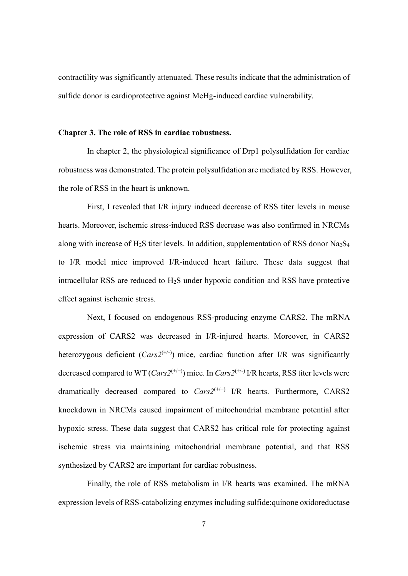contractility was significantly attenuated. These results indicate that the administration of sulfide donor is cardioprotective against MeHg-induced cardiac vulnerability.

#### **Chapter 3. The role of RSS in cardiac robustness.**

In chapter 2, the physiological significance of Drp1 polysulfidation for cardiac robustness was demonstrated. The protein polysulfidation are mediated by RSS. However, the role of RSS in the heart is unknown.

First, I revealed that I/R injury induced decrease of RSS titer levels in mouse hearts. Moreover, ischemic stress-induced RSS decrease was also confirmed in NRCMs along with increase of H<sub>2</sub>S titer levels. In addition, supplementation of RSS donor Na<sub>2</sub>S<sub>4</sub> to I/R model mice improved I/R-induced heart failure. These data suggest that intracellular RSS are reduced to  $H_2S$  under hypoxic condition and RSS have protective effect against ischemic stress.

Next, I focused on endogenous RSS-producing enzyme CARS2. The mRNA expression of CARS2 was decreased in I/R-injured hearts. Moreover, in CARS2 heterozygous deficient  $(Cars2^{(+)}')$  mice, cardiac function after I/R was significantly decreased compared to WT (*Cars2*(+/+)) mice. In *Cars2*(+/-) I/R hearts, RSS titer levels were dramatically decreased compared to  $Cars2^{(+)+}$  I/R hearts. Furthermore, CARS2 knockdown in NRCMs caused impairment of mitochondrial membrane potential after hypoxic stress. These data suggest that CARS2 has critical role for protecting against ischemic stress via maintaining mitochondrial membrane potential, and that RSS synthesized by CARS2 are important for cardiac robustness.

Finally, the role of RSS metabolism in I/R hearts was examined. The mRNA expression levels of RSS-catabolizing enzymes including sulfide:quinone oxidoreductase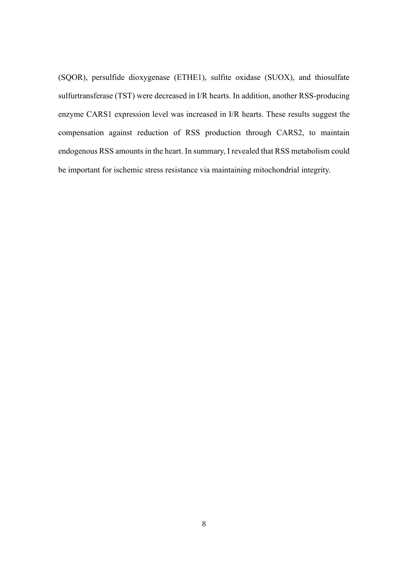(SQOR), persulfide dioxygenase (ETHE1), sulfite oxidase (SUOX), and thiosulfate sulfurtransferase (TST) were decreased in I/R hearts. In addition, another RSS-producing enzyme CARS1 expression level was increased in I/R hearts. These results suggest the compensation against reduction of RSS production through CARS2, to maintain endogenous RSS amounts in the heart. In summary, I revealed that RSS metabolism could be important for ischemic stress resistance via maintaining mitochondrial integrity.